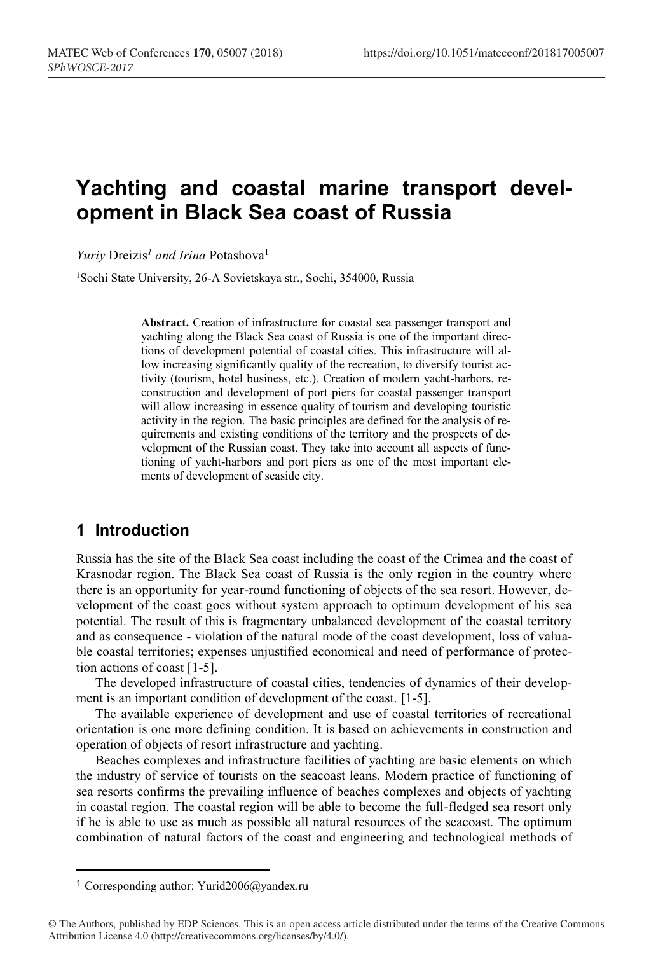# **Yachting and coastal marine transport development in Black Sea coast of Russia**

*Yuriy Dreizis<sup>1</sup> and Irina Potashova*<sup>1</sup>

1Sochi State University, 26-A Sovietskaya str., Sochi, 354000, Russia

**Abstract.** Creation of infrastructure for coastal sea passenger transport and yachting along the Black Sea coast of Russia is one of the important directions of development potential of coastal cities. This infrastructure will allow increasing significantly quality of the recreation, to diversify tourist activity (tourism, hotel business, etc.). Creation of modern yacht-harbors, reconstruction and development of port piers for coastal passenger transport will allow increasing in essence quality of tourism and developing touristic activity in the region. The basic principles are defined for the analysis of requirements and existing conditions of the territory and the prospects of development of the Russian coast. They take into account all aspects of functioning of yacht-harbors and port piers as one of the most important elements of development of seaside city.

### **1 Introduction**

Russia has the site of the Black Sea coast including the coast of the Crimea and the coast of Krasnodar region. The Black Sea coast of Russia is the only region in the country where there is an opportunity for year-round functioning of objects of the sea resort. However, development of the coast goes without system approach to optimum development of his sea potential. The result of this is fragmentary unbalanced development of the coastal territory and as consequence - violation of the natural mode of the coast development, loss of valuable coastal territories; expenses unjustified economical and need of performance of protection actions of coast [1-5].

The developed infrastructure of coastal cities, tendencies of dynamics of their development is an important condition of development of the coast. [1-5].

The available experience of development and use of coastal territories of recreational orientation is one more defining condition. It is based on achievements in construction and operation of objects of resort infrastructure and yachting.

Beaches complexes and infrastructure facilities of yachting are basic elements on which the industry of service of tourists on the seacoast leans. Modern practice of functioning of sea resorts confirms the prevailing influence of beaches complexes and objects of yachting in coastal region. The coastal region will be able to become the full-fledged sea resort only if he is able to use as much as possible all natural resources of the seacoast. The optimum combination of natural factors of the coast and engineering and technological methods of

 $\overline{a}$ 

<sup>1</sup> Corresponding author: Yurid2006@yandex.ru

<sup>©</sup> The Authors, published by EDP Sciences. This is an open access article distributed under the terms of the Creative Commons Attribution License 4.0 (http://creativecommons.org/licenses/by/4.0/).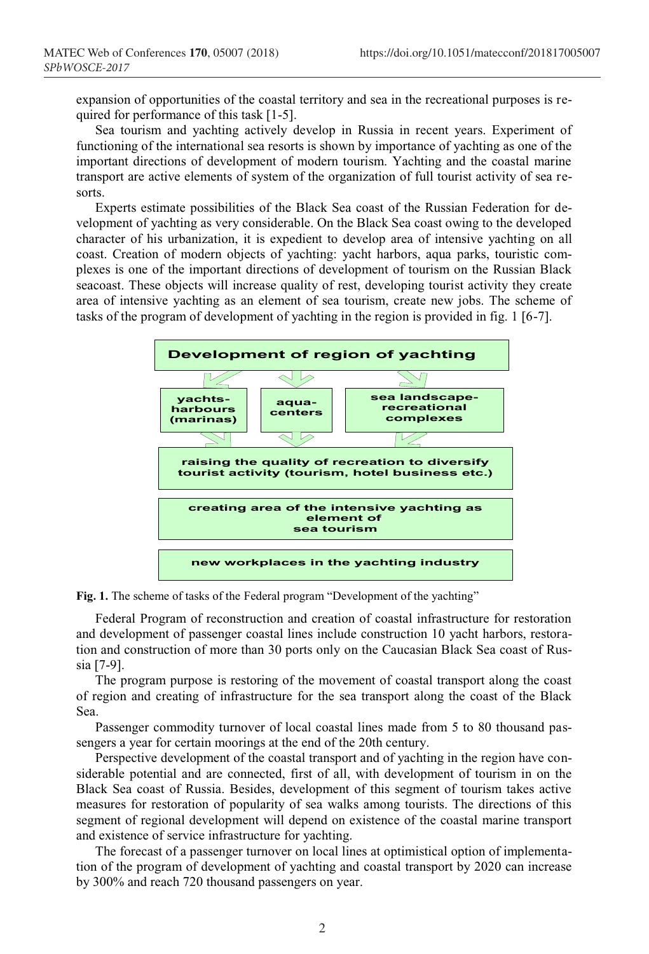expansion of opportunities of the coastal territory and sea in the recreational purposes is required for performance of this task [1-5].

Sea tourism and yachting actively develop in Russia in recent years. Experiment of functioning of the international sea resorts is shown by importance of yachting as one of the important directions of development of modern tourism. Yachting and the coastal marine transport are active elements of system of the organization of full tourist activity of sea resorts.

Experts estimate possibilities of the Black Sea coast of the Russian Federation for development of yachting as very considerable. On the Black Sea coast owing to the developed character of his urbanization, it is expedient to develop area of intensive yachting on all coast. Creation of modern objects of yachting: yacht harbors, aqua parks, touristic complexes is one of the important directions of development of tourism on the Russian Black seacoast. These objects will increase quality of rest, developing tourist activity they create area of intensive yachting as an element of sea tourism, create new jobs. The scheme of tasks of the program of development of yachting in the region is provided in fig. 1 [6-7].



Fig. 1. The scheme of tasks of the Federal program "Development of the yachting"

Federal Program of reconstruction and creation of coastal infrastructure for restoration and development of passenger coastal lines include construction 10 yacht harbors, restoration and construction of more than 30 ports only on the Caucasian Black Sea coast of Russia [7-9].

The program purpose is restoring of the movement of coastal transport along the coast of region and creating of infrastructure for the sea transport along the coast of the Black Sea.

Passenger commodity turnover of local coastal lines made from 5 to 80 thousand passengers a year for certain moorings at the end of the 20th century.

Perspective development of the coastal transport and of yachting in the region have considerable potential and are connected, first of all, with development of tourism in on the Black Sea coast of Russia. Besides, development of this segment of tourism takes active measures for restoration of popularity of sea walks among tourists. The directions of this segment of regional development will depend on existence of the coastal marine transport and existence of service infrastructure for yachting.

The forecast of a passenger turnover on local lines at optimistical option of implementation of the program of development of yachting and coastal transport by 2020 can increase by 300% and reach 720 thousand passengers on year.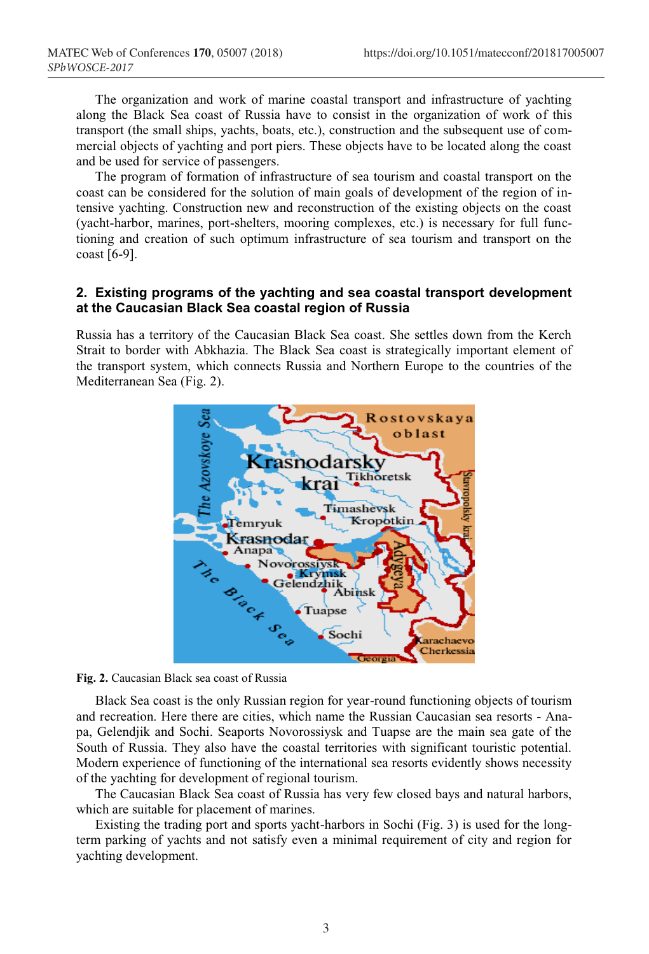The organization and work of marine coastal transport and infrastructure of yachting along the Black Sea coast of Russia have to consist in the organization of work of this transport (the small ships, yachts, boats, etc.), construction and the subsequent use of commercial objects of yachting and port piers. These objects have to be located along the coast and be used for service of passengers.

The program of formation of infrastructure of sea tourism and coastal transport on the coast can be considered for the solution of main goals of development of the region of intensive yachting. Construction new and reconstruction of the existing objects on the coast (yacht-harbor, marines, port-shelters, mooring complexes, etc.) is necessary for full functioning and creation of such optimum infrastructure of sea tourism and transport on the coast [6-9].

### **2. Existing programs of the yachting and sea coastal transport development at the Caucasian Black Sea coastal region of Russia**

Russia has a territory of the Caucasian Black Sea coast. She settles down from the Kerch Strait to border with Abkhazia. The Black Sea coast is strategically important element of the transport system, which connects Russia and Northern Europe to the countries of the Mediterranean Sea (Fig. 2).



**Fig. 2.** Caucasian Black sea coast of Russia

Black Sea coast is the only Russian region for year-round functioning objects of tourism and recreation. Here there are cities, which name the Russian Caucasian sea resorts - Anapa, Gelendjik and Sochi. Seaports Novorossiysk and Tuapse are the main sea gate of the South of Russia. They also have the coastal territories with significant touristic potential. Modern experience of functioning of the international sea resorts evidently shows necessity of the yachting for development of regional tourism.

The Caucasian Black Sea coast of Russia has very few closed bays and natural harbors, which are suitable for placement of marines.

Existing the trading port and sports yacht-harbors in Sochi (Fig. 3) is used for the longterm parking of yachts and not satisfy even a minimal requirement of city and region for yachting development.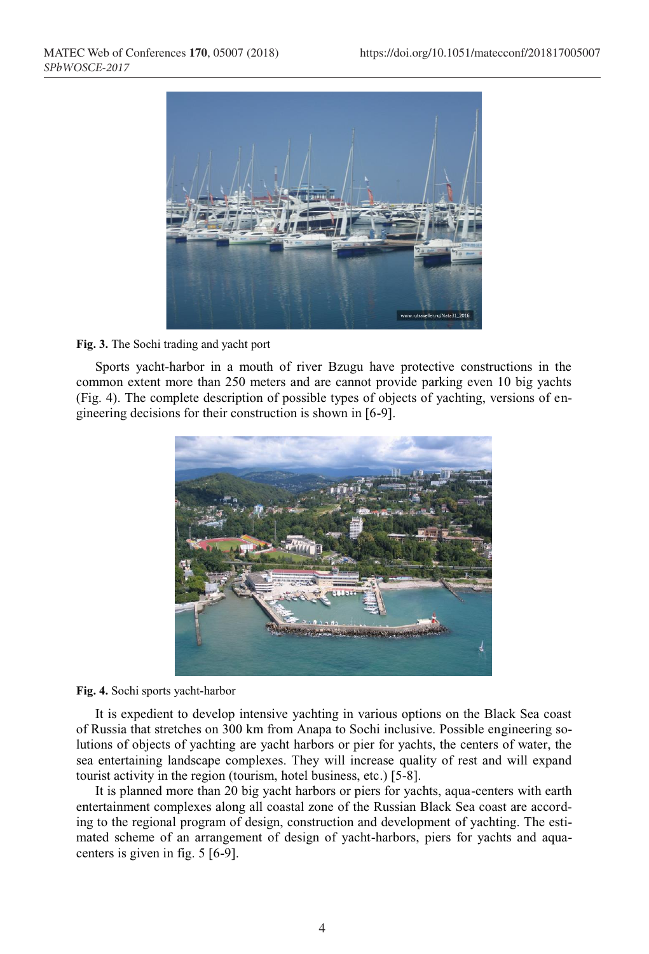

#### **Fig. 3.** The Sochi trading and yacht port

Sports yacht-harbor in a mouth of river Bzugu have protective constructions in the common extent more than 250 meters and are cannot provide parking even 10 big yachts (Fig. 4). The complete description of possible types of objects of yachting, versions of engineering decisions for their construction is shown in [6-9].



#### **Fig. 4.** Sochi sports yacht-harbor

It is expedient to develop intensive yachting in various options on the Black Sea coast of Russia that stretches on 300 km from Anapa to Sochi inclusive. Possible engineering solutions of objects of yachting are yacht harbors or pier for yachts, the centers of water, the sea entertaining landscape complexes. They will increase quality of rest and will expand tourist activity in the region (tourism, hotel business, etc.) [5-8].

It is planned more than 20 big yacht harbors or piers for yachts, aqua-centers with earth entertainment complexes along all coastal zone of the Russian Black Sea coast are according to the regional program of design, construction and development of yachting. The estimated scheme of an arrangement of design of yacht-harbors, piers for yachts and aquacenters is given in fig. 5 [6-9].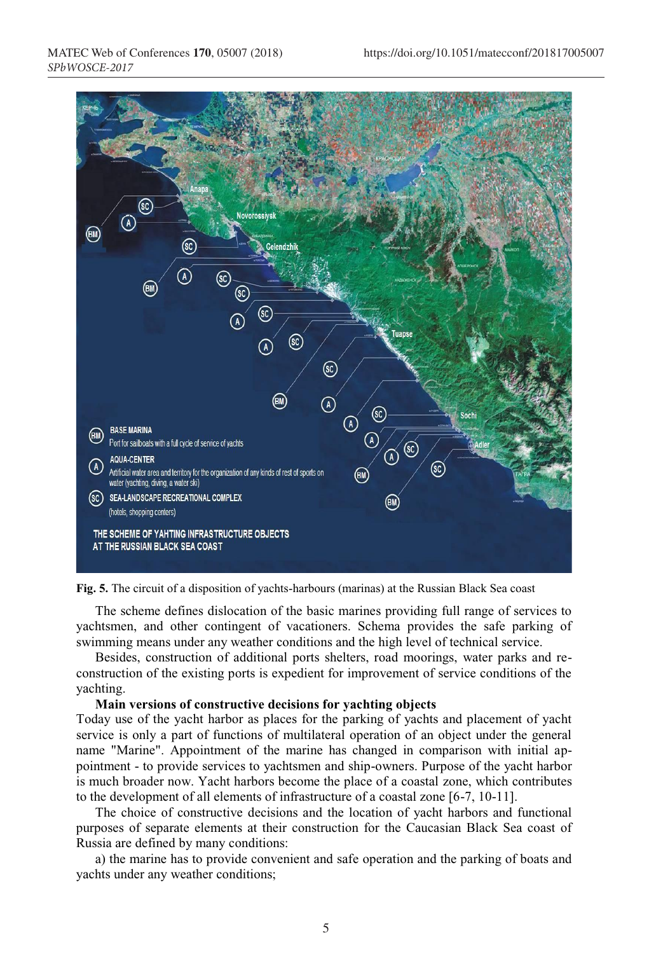

**Fig. 5.** The circuit of a disposition of yachts-harbours (marinas) at the Russian Black Sea coast

The scheme defines dislocation of the basic marines providing full range of services to yachtsmen, and other contingent of vacationers. Schema provides the safe parking of swimming means under any weather conditions and the high level of technical service.

Besides, construction of additional ports shelters, road moorings, water parks and reconstruction of the existing ports is expedient for improvement of service conditions of the yachting.

### **Main versions of constructive decisions for yachting objects**

Today use of the yacht harbor as places for the parking of yachts and placement of yacht service is only a part of functions of multilateral operation of an object under the general name "Marine". Appointment of the marine has changed in comparison with initial appointment - to provide services to yachtsmen and ship-owners. Purpose of the yacht harbor is much broader now. Yacht harbors become the place of a coastal zone, which contributes to the development of all elements of infrastructure of a coastal zone [6-7, 10-11].

The choice of constructive decisions and the location of yacht harbors and functional purposes of separate elements at their construction for the Caucasian Black Sea coast of Russia are defined by many conditions:

a) the marine has to provide convenient and safe operation and the parking of boats and yachts under any weather conditions;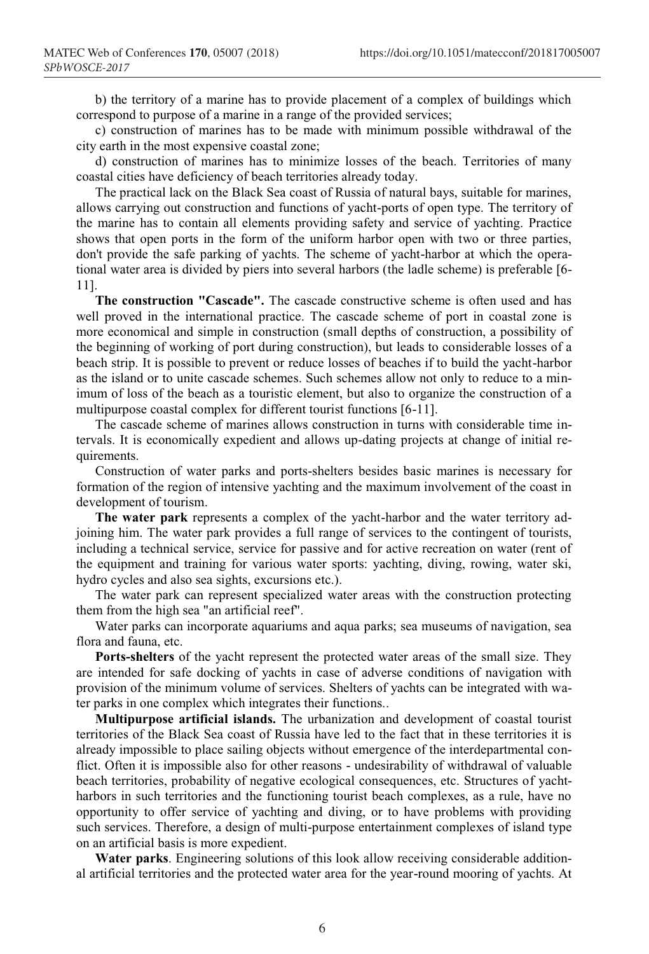b) the territory of a marine has to provide placement of a complex of buildings which correspond to purpose of a marine in a range of the provided services;

c) construction of marines has to be made with minimum possible withdrawal of the city earth in the most expensive coastal zone;

d) construction of marines has to minimize losses of the beach. Territories of many coastal cities have deficiency of beach territories already today.

The practical lack on the Black Sea coast of Russia of natural bays, suitable for marines, allows carrying out construction and functions of yacht-ports of open type. The territory of the marine has to contain all elements providing safety and service of yachting. Practice shows that open ports in the form of the uniform harbor open with two or three parties, don't provide the safe parking of yachts. The scheme of yacht-harbor at which the operational water area is divided by piers into several harbors (the ladle scheme) is preferable [6- 11].

**The construction "Cascade".** The cascade constructive scheme is often used and has well proved in the international practice. The cascade scheme of port in coastal zone is more economical and simple in construction (small depths of construction, a possibility of the beginning of working of port during construction), but leads to considerable losses of a beach strip. It is possible to prevent or reduce losses of beaches if to build the yacht-harbor as the island or to unite cascade schemes. Such schemes allow not only to reduce to a minimum of loss of the beach as a touristic element, but also to organize the construction of a multipurpose coastal complex for different tourist functions [6-11].

The cascade scheme of marines allows construction in turns with considerable time intervals. It is economically expedient and allows up-dating projects at change of initial requirements.

Construction of water parks and ports-shelters besides basic marines is necessary for formation of the region of intensive yachting and the maximum involvement of the coast in development of tourism.

**The water park** represents a complex of the yacht-harbor and the water territory adjoining him. The water park provides a full range of services to the contingent of tourists, including a technical service, service for passive and for active recreation on water (rent of the equipment and training for various water sports: yachting, diving, rowing, water ski, hydro cycles and also sea sights, excursions etc.).

The water park can represent specialized water areas with the construction protecting them from the high sea "an artificial reef".

Water parks can incorporate aquariums and aqua parks; sea museums of navigation, sea flora and fauna, etc.

**Ports-shelters** of the yacht represent the protected water areas of the small size. They are intended for safe docking of yachts in case of adverse conditions of navigation with provision of the minimum volume of services. Shelters of yachts can be integrated with water parks in one complex which integrates their functions..

**Multipurpose artificial islands.** The urbanization and development of coastal tourist territories of the Black Sea coast of Russia have led to the fact that in these territories it is already impossible to place sailing objects without emergence of the interdepartmental conflict. Often it is impossible also for other reasons - undesirability of withdrawal of valuable beach territories, probability of negative ecological consequences, etc. Structures of yachtharbors in such territories and the functioning tourist beach complexes, as a rule, have no opportunity to offer service of yachting and diving, or to have problems with providing such services. Therefore, a design of multi-purpose entertainment complexes of island type on an artificial basis is more expedient.

**Water parks**. Engineering solutions of this look allow receiving considerable additional artificial territories and the protected water area for the year-round mooring of yachts. At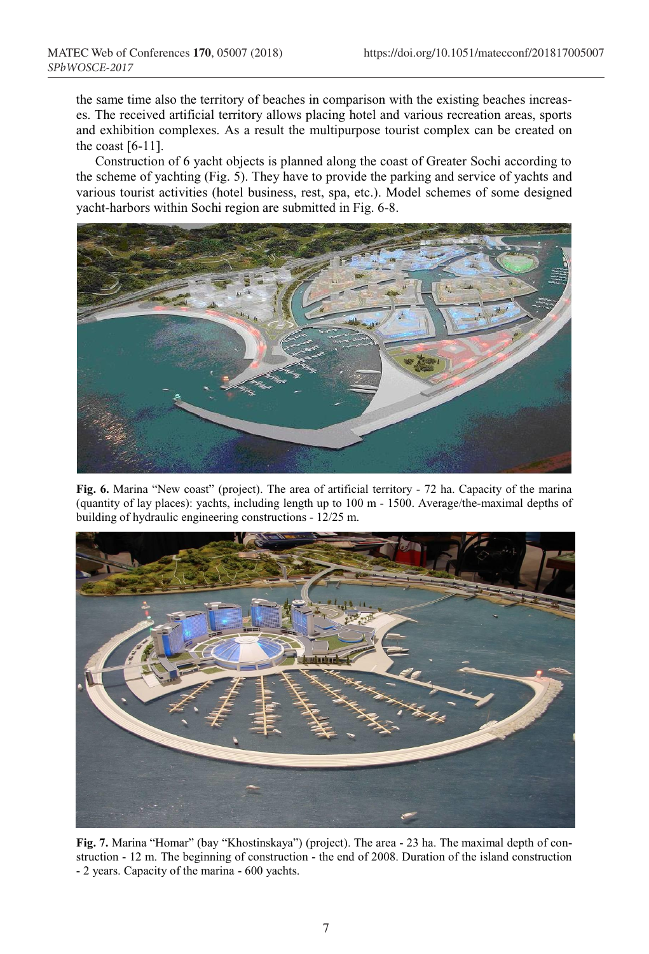the same time also the territory of beaches in comparison with the existing beaches increases. The received artificial territory allows placing hotel and various recreation areas, sports and exhibition complexes. As a result the multipurpose tourist complex can be created on the coast [6-11].

Construction of 6 yacht objects is planned along the coast of Greater Sochi according to the scheme of yachting (Fig. 5). They have to provide the parking and service of yachts and various tourist activities (hotel business, rest, spa, etc.). Model schemes of some designed yacht-harbors within Sochi region are submitted in Fig. 6-8.



**Fig. 6.** Marina "New coast" (project). The area of artificial territory - 72 ha. Capacity of the marina (quantity of lay places): yachts, including length up to 100 m - 1500. Average/the-maximal depths of building of hydraulic engineering constructions - 12/25 m.



**Fig. 7.** Marina "Homar" (bay "Khostinskaya") (project). The area - 23 ha. The maximal depth of construction - 12 m. The beginning of construction - the end of 2008. Duration of the island construction - 2 years. Capacity of the marina - 600 yachts.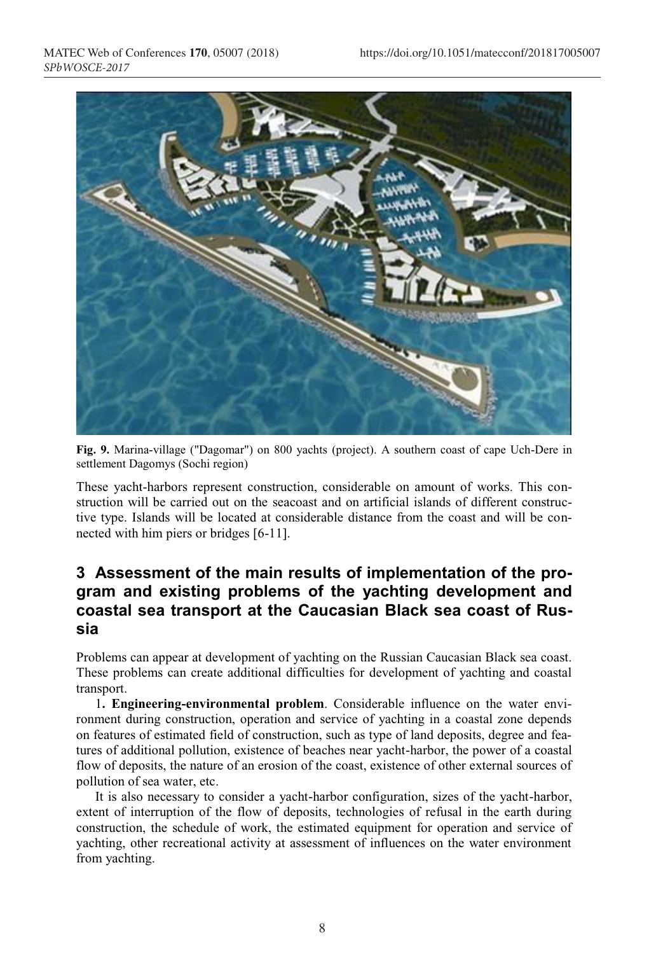

**Fig. 9.** Marina-village ("Dagomar") on 800 yachts (project). A southern coast of cape Uch-Dere in settlement Dagomys (Sochi region)

These yacht-harbors represent construction, considerable on amount of works. This construction will be carried out on the seacoast and on artificial islands of different constructive type. Islands will be located at considerable distance from the coast and will be connected with him piers or bridges [6-11].

# **3 Assessment of the main results of implementation of the program and existing problems of the yachting development and coastal sea transport at the Caucasian Black sea coast of Russia**

Problems can appear at development of yachting on the Russian Caucasian Black sea coast. These problems can create additional difficulties for development of yachting and coastal transport.

1**. Engineering-environmental problem**. Considerable influence on the water environment during construction, operation and service of yachting in a coastal zone depends on features of estimated field of construction, such as type of land deposits, degree and features of additional pollution, existence of beaches near yacht-harbor, the power of a coastal flow of deposits, the nature of an erosion of the coast, existence of other external sources of pollution of sea water, etc.

It is also necessary to consider a yacht-harbor configuration, sizes of the yacht-harbor, extent of interruption of the flow of deposits, technologies of refusal in the earth during construction, the schedule of work, the estimated equipment for operation and service of yachting, other recreational activity at assessment of influences on the water environment from yachting.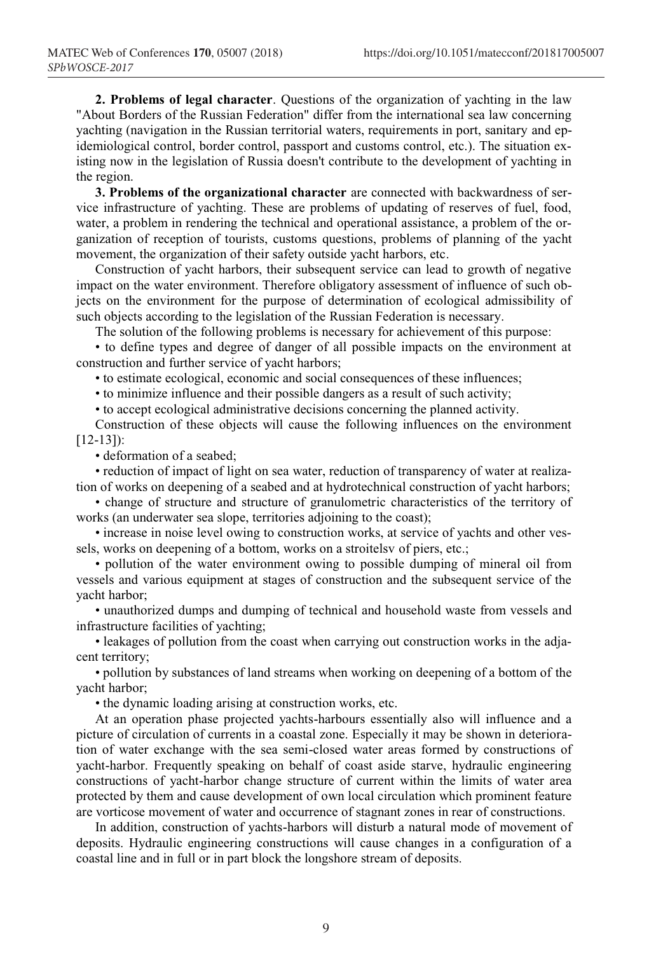**2. Problems of legal character**. Questions of the organization of yachting in the law "About Borders of the Russian Federation" differ from the international sea law concerning yachting (navigation in the Russian territorial waters, requirements in port, sanitary and epidemiological control, border control, passport and customs control, etc.). The situation existing now in the legislation of Russia doesn't contribute to the development of yachting in the region.

**3. Problems of the organizational character** are connected with backwardness of service infrastructure of yachting. These are problems of updating of reserves of fuel, food, water, a problem in rendering the technical and operational assistance, a problem of the organization of reception of tourists, customs questions, problems of planning of the yacht movement, the organization of their safety outside yacht harbors, etc.

Construction of yacht harbors, their subsequent service can lead to growth of negative impact on the water environment. Therefore obligatory assessment of influence of such objects on the environment for the purpose of determination of ecological admissibility of such objects according to the legislation of the Russian Federation is necessary.

The solution of the following problems is necessary for achievement of this purpose:

• to define types and degree of danger of all possible impacts on the environment at construction and further service of yacht harbors;

• to estimate ecological, economic and social consequences of these influences;

• to minimize influence and their possible dangers as a result of such activity;

• to accept ecological administrative decisions concerning the planned activity.

Construction of these objects will cause the following influences on the environment [12-13]):

• deformation of a seabed;

• reduction of impact of light on sea water, reduction of transparency of water at realization of works on deepening of a seabed and at hydrotechnical construction of yacht harbors;

• change of structure and structure of granulometric characteristics of the territory of works (an underwater sea slope, territories adjoining to the coast);

• increase in noise level owing to construction works, at service of yachts and other vessels, works on deepening of a bottom, works on a stroitelsv of piers, etc.;

• pollution of the water environment owing to possible dumping of mineral oil from vessels and various equipment at stages of construction and the subsequent service of the yacht harbor;

• unauthorized dumps and dumping of technical and household waste from vessels and infrastructure facilities of yachting;

• leakages of pollution from the coast when carrying out construction works in the adjacent territory;

• pollution by substances of land streams when working on deepening of a bottom of the yacht harbor;

• the dynamic loading arising at construction works, etc.

At an operation phase projected yachts-harbours essentially also will influence and a picture of circulation of currents in a coastal zone. Especially it may be shown in deterioration of water exchange with the sea semi-closed water areas formed by constructions of yacht-harbor. Frequently speaking on behalf of coast aside starve, hydraulic engineering constructions of yacht-harbor change structure of current within the limits of water area protected by them and cause development of own local circulation which prominent feature are vorticose movement of water and occurrence of stagnant zones in rear of constructions.

In addition, construction of yachts-harbors will disturb a natural mode of movement of deposits. Hydraulic engineering constructions will cause changes in a configuration of a coastal line and in full or in part block the longshore stream of deposits.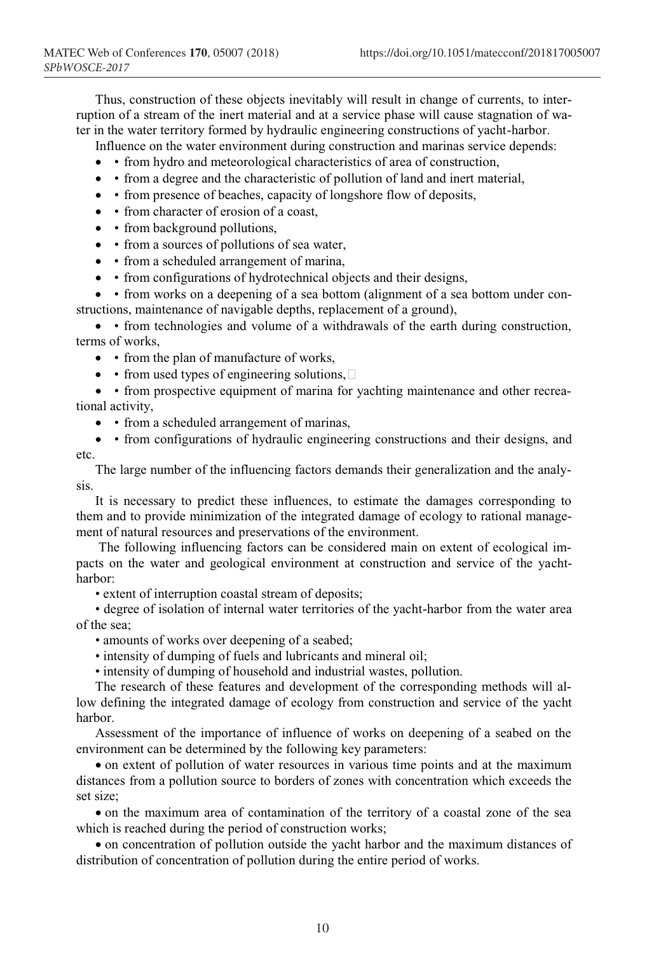Thus, construction of these objects inevitably will result in change of currents, to interruption of a stream of the inert material and at a service phase will cause stagnation of water in the water territory formed by hydraulic engineering constructions of yacht-harbor.

Influence on the water environment during construction and marinas service depends:

- from hydro and meteorological characteristics of area of construction,
- from a degree and the characteristic of pollution of land and inert material,
- from presence of beaches, capacity of longshore flow of deposits,
- from character of erosion of a coast,
- from background pollutions,
- from a sources of pollutions of sea water,
- from a scheduled arrangement of marina,
- from configurations of hydrotechnical objects and their designs,

• from works on a deepening of a sea bottom (alignment of a sea bottom under constructions, maintenance of navigable depths, replacement of a ground),

 • from technologies and volume of a withdrawals of the earth during construction, terms of works,

- from the plan of manufacture of works,
- $\bullet$  from used types of engineering solutions,

• from prospective equipment of marina for yachting maintenance and other recreational activity,

• from a scheduled arrangement of marinas,

 • from configurations of hydraulic engineering constructions and their designs, and etc.

The large number of the influencing factors demands their generalization and the analysis.

It is necessary to predict these influences, to estimate the damages corresponding to them and to provide minimization of the integrated damage of ecology to rational management of natural resources and preservations of the environment.

The following influencing factors can be considered main on extent of ecological impacts on the water and geological environment at construction and service of the yachtharbor:

• extent of interruption coastal stream of deposits;

• degree of isolation of internal water territories of the yacht-harbor from the water area of the sea;

- amounts of works over deepening of a seabed;
- intensity of dumping of fuels and lubricants and mineral oil;

• intensity of dumping of household and industrial wastes, pollution.

The research of these features and development of the corresponding methods will allow defining the integrated damage of ecology from construction and service of the yacht harbor.

Assessment of the importance of influence of works on deepening of a seabed on the environment can be determined by the following key parameters:

 on extent of pollution of water resources in various time points and at the maximum distances from a pollution source to borders of zones with concentration which exceeds the set size;

 on the maximum area of contamination of the territory of a coastal zone of the sea which is reached during the period of construction works;

 on concentration of pollution outside the yacht harbor and the maximum distances of distribution of concentration of pollution during the entire period of works.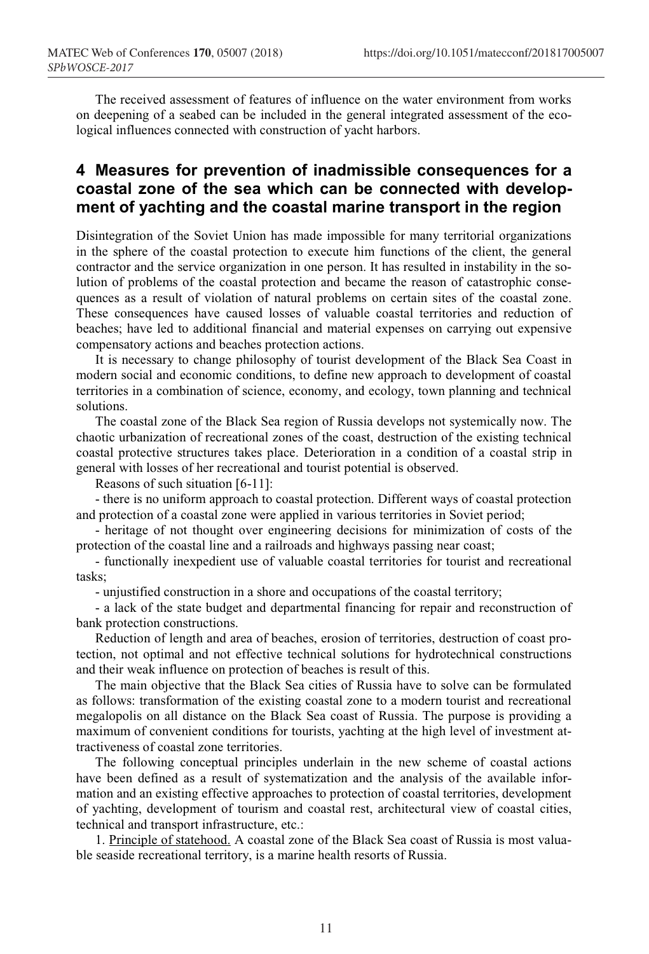The received assessment of features of influence on the water environment from works on deepening of a seabed can be included in the general integrated assessment of the ecological influences connected with construction of yacht harbors.

## **4 Measures for prevention of inadmissible consequences for a coastal zone of the sea which can be connected with development of yachting and the coastal marine transport in the region**

Disintegration of the Soviet Union has made impossible for many territorial organizations in the sphere of the coastal protection to execute him functions of the client, the general contractor and the service organization in one person. It has resulted in instability in the solution of problems of the coastal protection and became the reason of catastrophic consequences as a result of violation of natural problems on certain sites of the coastal zone. These consequences have caused losses of valuable coastal territories and reduction of beaches; have led to additional financial and material expenses on carrying out expensive compensatory actions and beaches protection actions.

It is necessary to change philosophy of tourist development of the Black Sea Coast in modern social and economic conditions, to define new approach to development of coastal territories in a combination of science, economy, and ecology, town planning and technical solutions.

The coastal zone of the Black Sea region of Russia develops not systemically now. The chaotic urbanization of recreational zones of the coast, destruction of the existing technical coastal protective structures takes place. Deterioration in a condition of a coastal strip in general with losses of her recreational and tourist potential is observed.

Reasons of such situation [6-11]:

- there is no uniform approach to coastal protection. Different ways of coastal protection and protection of a coastal zone were applied in various territories in Soviet period;

- heritage of not thought over engineering decisions for minimization of costs of the protection of the coastal line and a railroads and highways passing near coast;

- functionally inexpedient use of valuable coastal territories for tourist and recreational tasks;

- unjustified construction in a shore and occupations of the coastal territory;

- a lack of the state budget and departmental financing for repair and reconstruction of bank protection constructions.

Reduction of length and area of beaches, erosion of territories, destruction of coast protection, not optimal and not effective technical solutions for hydrotechnical constructions and their weak influence on protection of beaches is result of this.

The main objective that the Black Sea cities of Russia have to solve can be formulated as follows: transformation of the existing coastal zone to a modern tourist and recreational megalopolis on all distance on the Black Sea coast of Russia. The purpose is providing a maximum of convenient conditions for tourists, yachting at the high level of investment attractiveness of coastal zone territories.

The following conceptual principles underlain in the new scheme of coastal actions have been defined as a result of systematization and the analysis of the available information and an existing effective approaches to protection of coastal territories, development of yachting, development of tourism and coastal rest, architectural view of coastal cities, technical and transport infrastructure, etc.:

1. Principle of statehood. A coastal zone of the Black Sea coast of Russia is most valuable seaside recreational territory, is a marine health resorts of Russia.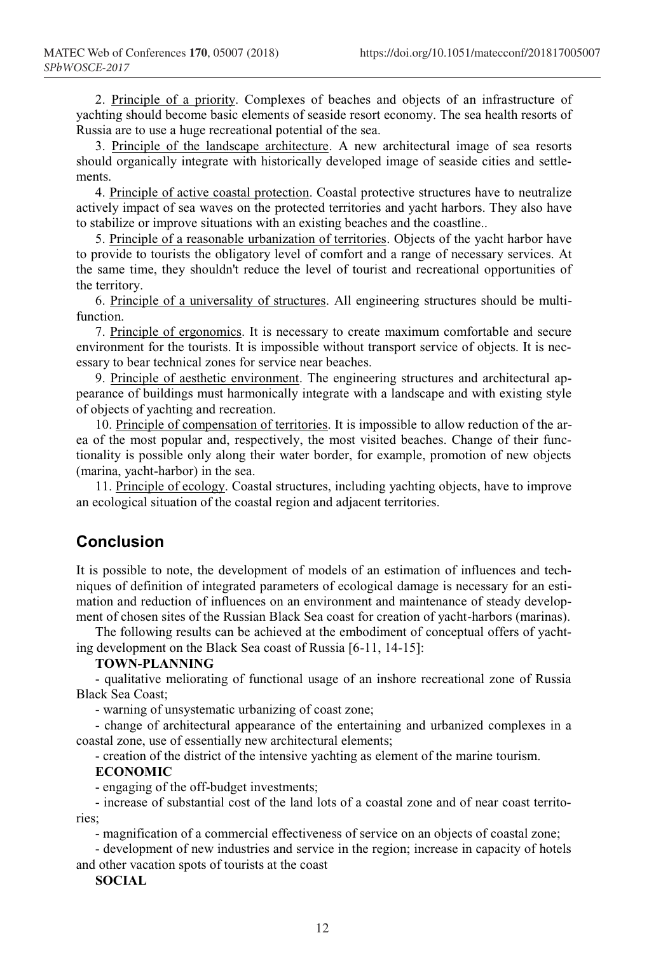2. Principle of a priority. Complexes of beaches and objects of an infrastructure of yachting should become basic elements of seaside resort economy. The sea health resorts of Russia are to use a huge recreational potential of the sea.

3. Principle of the landscape architecture. A new architectural image of sea resorts should organically integrate with historically developed image of seaside cities and settlements.

4. Principle of active coastal protection. Coastal protective structures have to neutralize actively impact of sea waves on the protected territories and yacht harbors. They also have to stabilize or improve situations with an existing beaches and the coastline..

5. Principle of a reasonable urbanization of territories. Objects of the yacht harbor have to provide to tourists the obligatory level of comfort and a range of necessary services. At the same time, they shouldn't reduce the level of tourist and recreational opportunities of the territory.

6. Principle of a universality of structures. All engineering structures should be multifunction.

7. Principle of ergonomics. It is necessary to create maximum comfortable and secure environment for the tourists. It is impossible without transport service of objects. It is necessary to bear technical zones for service near beaches.

9. Principle of aesthetic environment. The engineering structures and architectural appearance of buildings must harmonically integrate with a landscape and with existing style of objects of yachting and recreation.

10. Principle of compensation of territories. It is impossible to allow reduction of the area of the most popular and, respectively, the most visited beaches. Change of their functionality is possible only along their water border, for example, promotion of new objects (marina, yacht-harbor) in the sea.

11. Principle of ecology. Coastal structures, including yachting objects, have to improve an ecological situation of the coastal region and adjacent territories.

# **Conclusion**

It is possible to note, the development of models of an estimation of influences and techniques of definition of integrated parameters of ecological damage is necessary for an estimation and reduction of influences on an environment and maintenance of steady development of chosen sites of the Russian Black Sea coast for creation of yacht-harbors (marinas).

The following results can be achieved at the embodiment of conceptual offers of yachting development on the Black Sea coast of Russia [6-11, 14-15]:

#### **TOWN-PLANNING**

- qualitative meliorating of functional usage of an inshore recreational zone of Russia Black Sea Coast;

- warning of unsystematic urbanizing of coast zone;

- change of architectural appearance of the entertaining and urbanized complexes in a coastal zone, use of essentially new architectural elements;

- creation of the district of the intensive yachting as element of the marine tourism.

### **ECONOMIC**

- engaging of the off-budget investments;

- increase of substantial cost of the land lots of a coastal zone and of near coast territories;

- magnification of a commercial effectiveness of service on an objects of coastal zone;

- development of new industries and service in the region; increase in capacity of hotels and other vacation spots of tourists at the coast

**SOCIAL**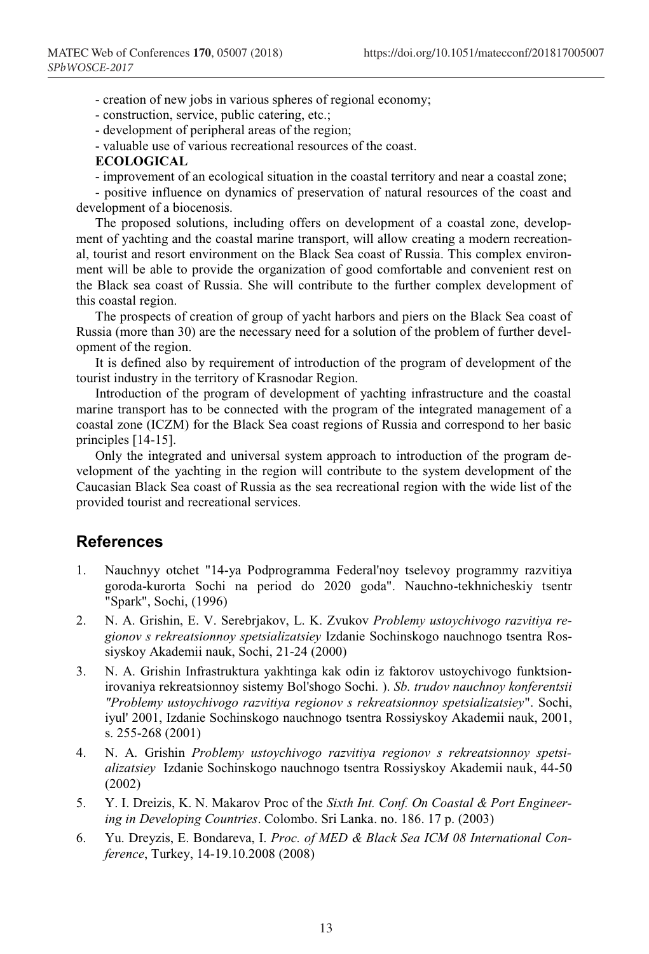- creation of new jobs in various spheres of regional economy;

- construction, service, public catering, etc.;

- development of peripheral areas of the region;
- valuable use of various recreational resources of the coast.

### **ECOLOGICAL**

- improvement of an ecological situation in the coastal territory and near a coastal zone;

- positive influence on dynamics of preservation of natural resources of the coast and development of a biocenosis.

The proposed solutions, including offers on development of a coastal zone, development of yachting and the coastal marine transport, will allow creating a modern recreational, tourist and resort environment on the Black Sea coast of Russia. This complex environment will be able to provide the organization of good comfortable and convenient rest on the Black sea coast of Russia. She will contribute to the further complex development of this coastal region.

The prospects of creation of group of yacht harbors and piers on the Black Sea coast of Russia (more than 30) are the necessary need for a solution of the problem of further development of the region.

It is defined also by requirement of introduction of the program of development of the tourist industry in the territory of Krasnodar Region.

Introduction of the program of development of yachting infrastructure and the coastal marine transport has to be connected with the program of the integrated management of a coastal zone (ICZM) for the Black Sea coast regions of Russia and correspond to her basic principles [14-15].

Only the integrated and universal system approach to introduction of the program development of the yachting in the region will contribute to the system development of the Caucasian Black Sea coast of Russia as the sea recreational region with the wide list of the provided tourist and recreational services.

### **References**

- 1. Nauchnyy otchet "14-ya Podprogramma Federal'noy tselevoy programmy razvitiya goroda-kurorta Sochi na period do 2020 goda". Nauchno-tekhnicheskiy tsentr "Spark", Sochi, (1996)
- 2. N. A. Grishin, E. V. Serebrjakov, L. K. Zvukov *Problemy ustoychivogo razvitiya regionov s rekreatsionnoy spetsializatsiey* Izdanie Sochinskogo nauchnogo tsentra Rossiyskoy Akademii nauk, Sochi, 21-24 (2000)
- 3. N. A. Grishin Infrastruktura yakhtinga kak odin iz faktorov ustoychivogo funktsionirovaniya rekreatsionnoy sistemy Bol'shogo Sochi. ). *Sb. trudov nauchnoy konferentsii "Problemy ustoychivogo razvitiya regionov s rekreatsionnoy spetsializatsiey*". Sochi, iyul' 2001, Izdanie Sochinskogo nauchnogo tsentra Rossiyskoy Akademii nauk, 2001, s. 255-268 (2001)
- 4. N. A. Grishin *Problemy ustoychivogo razvitiya regionov s rekreatsionnoy spetsializatsiey* Izdanie Sochinskogo nauchnogo tsentra Rossiyskoy Akademii nauk, 44-50 (2002)
- 5. Y. I. Dreizis, K. N. Makarov Proc of the *Sixth Int. Conf. On Coastal & Port Engineering in Developing Countries*. Colombo. Sri Lanka. no. 186. 17 p. (2003)
- 6. Yu. Dreyzis, E. Bondareva, I. *Proc. of MED & Black Sea ICM 08 International Conference*, Turkey, 14-19.10.2008 (2008)